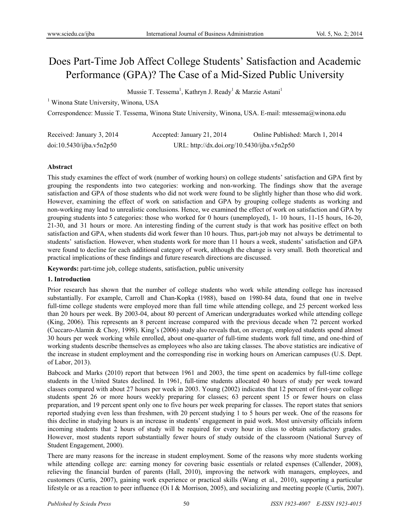# Does Part-Time Job Affect College Students' Satisfaction and Academic Performance (GPA)? The Case of a Mid-Sized Public University

Mussie T. Tessema<sup>1</sup>, Kathryn J. Ready<sup>1</sup> & Marzie Astani<sup>1</sup>

<sup>1</sup> Winona State University, Winona, USA

Correspondence: Mussie T. Tessema, Winona State University, Winona, USA. E-mail: mtessema@winona.edu

| Received: January 3, 2014 | Accepted: January 21, 2014                  | Online Published: March 1, 2014 |
|---------------------------|---------------------------------------------|---------------------------------|
| doi:10.5430/ijba.v5n2p50  | URL: http://dx.doi.org/10.5430/ijba.v5n2p50 |                                 |

# **Abstract**

This study examines the effect of work (number of working hours) on college students' satisfaction and GPA first by grouping the respondents into two categories: working and non-working. The findings show that the average satisfaction and GPA of those students who did not work were found to be slightly higher than those who did work. However, examining the effect of work on satisfaction and GPA by grouping college students as working and non-working may lead to unrealistic conclusions. Hence, we examined the effect of work on satisfaction and GPA by grouping students into 5 categories: those who worked for 0 hours (unemployed), 1- 10 hours, 11-15 hours, 16-20, 21-30, and 31 hours or more. An interesting finding of the current study is that work has positive effect on both satisfaction and GPA, when students did work fewer than 10 hours. Thus, part-job may not always be detrimental to students' satisfaction. However, when students work for more than 11 hours a week, students' satisfaction and GPA were found to decline for each additional category of work, although the change is very small. Both theoretical and practical implications of these findings and future research directions are discussed.

**Keywords:** part-time job, college students, satisfaction, public university

# **1. Introduction**

Prior research has shown that the number of college students who work while attending college has increased substantially. For example, Carroll and Chan-Kopka (1988), based on 1980-84 data, found that one in twelve full-time college students were employed more than full time while attending college, and 25 percent worked less than 20 hours per week. By 2003-04, about 80 percent of American undergraduates worked while attending college (King, 2006). This represents an 8 percent increase compared with the previous decade when 72 percent worked (Cuccaro-Alamin & Choy, 1998). King's (2006) study also reveals that, on average, employed students spend almost 30 hours per week working while enrolled, about one-quarter of full-time students work full time, and one-third of working students describe themselves as employees who also are taking classes. The above statistics are indicative of the increase in student employment and the corresponding rise in working hours on American campuses (U.S. Dept. of Labor, 2013).

Babcock and Marks (2010) report that between 1961 and 2003, the time spent on academics by full-time college students in the United States declined. In 1961, full-time students allocated 40 hours of study per week toward classes compared with about 27 hours per week in 2003. Young (2002) indicates that 12 percent of first-year college students spent 26 or more hours weekly preparing for classes; 63 percent spent 15 or fewer hours on class preparation, and 19 percent spent only one to five hours per week preparing for classes. The report states that seniors reported studying even less than freshmen, with 20 percent studying 1 to 5 hours per week. One of the reasons for this decline in studying hours is an increase in students' engagement in paid work. Most university officials inform incoming students that 2 hours of study will be required for every hour in class to obtain satisfactory grades. However, most students report substantially fewer hours of study outside of the classroom (National Survey of Student Engagement, 2000).

There are many reasons for the increase in student employment. Some of the reasons why more students working while attending college are: earning money for covering basic essentials or related expenses (Callender, 2008), relieving the financial burden of parents (Hall, 2010), improving the network with managers, employees, and customers (Curtis, 2007), gaining work experience or practical skills (Wang et al., 2010), supporting a particular lifestyle or as a reaction to peer influence (Oi I & Morrison, 2005), and socializing and meeting people (Curtis, 2007).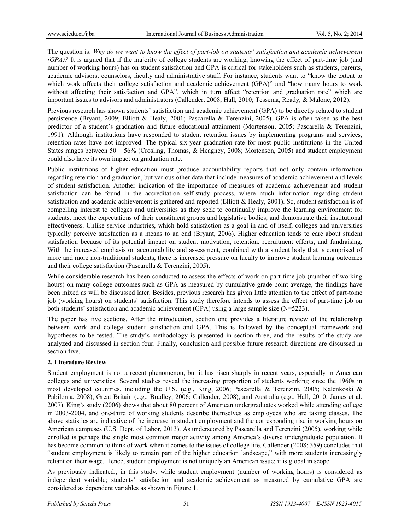The question is: *Why do we want to know the effect of part-job on students' satisfaction and academic achievement (GPA)?* It is argued that if the majority of college students are working, knowing the effect of part-time job (and number of working hours) has on student satisfaction and GPA is critical for stakeholders such as students, parents, academic advisors, counselors, faculty and administrative staff. For instance, students want to "know the extent to which work affects their college satisfaction and academic achievement (GPA)" and "how many hours to work without affecting their satisfaction and GPA", which in turn affect "retention and graduation rate" which are important issues to advisors and administrators (Callender, 2008; Hall, 2010; Tessema, Ready, & Malone, 2012).

Previous research has shown students' satisfaction and academic achievement (GPA) to be directly related to student persistence (Bryant, 2009; Elliott & Healy, 2001; Pascarella & Terenzini, 2005). GPA is often taken as the best predictor of a student's graduation and future educational attainment (Mortenson, 2005; Pascarella & Terenzini, 1991). Although institutions have responded to student retention issues by implementing programs and services, retention rates have not improved. The typical six-year graduation rate for most public institutions in the United States ranges between 50 – 56% (Crosling, Thomas, & Heagney, 2008; Mortenson, 2005) and student employment could also have its own impact on graduation rate.

Public institutions of higher education must produce accountability reports that not only contain information regarding retention and graduation, but various other data that include measures of academic achievement and levels of student satisfaction. Another indication of the importance of measures of academic achievement and student satisfaction can be found in the accreditation self-study process, where much information regarding student satisfaction and academic achievement is gathered and reported (Elliott & Healy, 2001). So, student satisfaction is of compelling interest to colleges and universities as they seek to continually improve the learning environment for students, meet the expectations of their constituent groups and legislative bodies, and demonstrate their institutional effectiveness. Unlike service industries, which hold satisfaction as a goal in and of itself, colleges and universities typically perceive satisfaction as a means to an end (Bryant, 2006). Higher education tends to care about student satisfaction because of its potential impact on student motivation, retention, recruitment efforts, and fundraising. With the increased emphasis on accountability and assessment, combined with a student body that is comprised of more and more non-traditional students, there is increased pressure on faculty to improve student learning outcomes and their college satisfaction (Pascarella & Terenzini, 2005).

While considerable research has been conducted to assess the effects of work on part-time job (number of working hours) on many college outcomes such as GPA as measured by cumulative grade point average, the findings have been mixed as will be discussed later. Besides, previous research has given little attention to the effect of part-tome job (working hours) on students' satisfaction. This study therefore intends to assess the effect of part-time job on both students' satisfaction and academic achievement (GPA) using a large sample size (N=5223).

The paper has five sections. After the introduction, section one provides a literature review of the relationship between work and college student satisfaction and GPA. This is followed by the conceptual framework and hypotheses to be tested. The study's methodology is presented in section three, and the results of the study are analyzed and discussed in section four. Finally, conclusion and possible future research directions are discussed in section five.

# **2. Literature Review**

Student employment is not a recent phenomenon, but it has risen sharply in recent years, especially in American colleges and universities. Several studies reveal the increasing proportion of students working since the 1960s in most developed countries, including the U.S. (e.g., King, 2006; Pascarella & Terenzini, 2005; Kalenkoski & Pabilonia, 2008), Great Britain (e.g., Bradley, 2006; Callender, 2008), and Australia (e.g., Hall, 2010; James et al. 2007). King's study (2006) shows that about 80 percent of American undergraduates worked while attending college in 2003-2004, and one-third of working students describe themselves as employees who are taking classes. The above statistics are indicative of the increase in student employment and the corresponding rise in working hours on American campuses (U.S. Dept. of Labor, 2013). As underscored by Pascarella and Terenzini (2005), working while enrolled is perhaps the single most common major activity among America's diverse undergraduate population. It has become common to think of work when it comes to the issues of college life. Callender (2008: 359) concludes that "student employment is likely to remain part of the higher education landscape," with more students increasingly reliant on their wage. Hence, student employment is not uniquely an American issue; it is global in scope.

As previously indicated,, in this study, while student employment (number of working hours) is considered as independent variable; students' satisfaction and academic achievement as measured by cumulative GPA are considered as dependent variables as shown in Figure 1.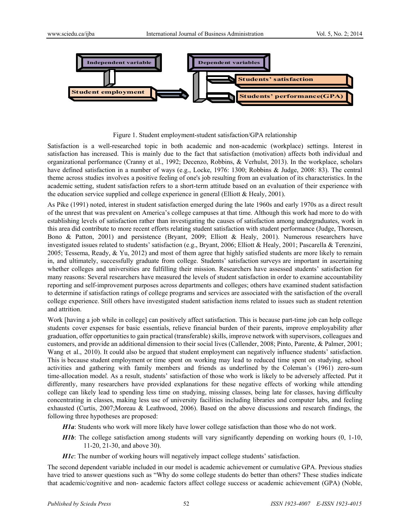

Figure 1. Student employment-student satisfaction/GPA relationship

Satisfaction is a well-researched topic in both academic and non-academic (workplace) settings. Interest in satisfaction has increased. This is mainly due to the fact that satisfaction (motivation) affects both individual and organizational performance (Cranny et al., 1992; Decenzo, Robbins, & Verhulst, 2013). In the workplace, scholars have defined satisfaction in a number of ways (e.g., Locke, 1976: 1300; Robbins & Judge, 2008: 83). The central theme across studies involves a positive feeling of one's job resulting from an evaluation of its characteristics. In the academic setting, student satisfaction refers to a short-term attitude based on an evaluation of their experience with the education service supplied and college experience in general (Elliott & Healy, 2001).

As Pike (1991) noted, interest in student satisfaction emerged during the late 1960s and early 1970s as a direct result of the unrest that was prevalent on America's college campuses at that time. Although this work had more to do with establishing levels of satisfaction rather than investigating the causes of satisfaction among undergraduates, work in this area did contribute to more recent efforts relating student satisfaction with student performance (Judge, Thoresen, Bono & Patton, 2001) and persistence (Bryant, 2009; Elliott & Healy, 2001). Numerous researchers have investigated issues related to students' satisfaction (e.g., Bryant, 2006; Elliott & Healy, 2001; Pascarella & Terenzini, 2005; Tessema, Ready,  $\&$  Yu, 2012) and most of them agree that highly satisfied students are more likely to remain in, and ultimately, successfully graduate from college. Students' satisfaction surveys are important in ascertaining whether colleges and universities are fulfilling their mission. Researchers have assessed students' satisfaction for many reasons: Several researchers have measured the levels of student satisfaction in order to examine accountability reporting and self-improvement purposes across departments and colleges; others have examined student satisfaction to determine if satisfaction ratings of college programs and services are associated with the satisfaction of the overall college experience. Still others have investigated student satisfaction items related to issues such as student retention and attrition.

Work [having a job while in college] can positively affect satisfaction. This is because part-time job can help college students cover expenses for basic essentials, relieve financial burden of their parents, improve employability after graduation, offer opportunities to gain practical (transferable) skills, improve network with supervisors, colleagues and customers, and provide an additional dimension to their social lives (Callender, 2008; Pinto, Parente, & Palmer, 2001; Wang et al., 2010). It could also be argued that student employment can negatively influence students' satisfaction. This is because student employment or time spent on working may lead to reduced time spent on studying, school activities and gathering with family members and friends as underlined by the Coleman's (1961) zero-sum time-allocation model. As a result, students' satisfaction of those who work is likely to be adversely affected. Put it differently, many researchers have provided explanations for these negative effects of working while attending college can likely lead to spending less time on studying, missing classes, being late for classes, having difficulty concentrating in classes, making less use of university facilities including libraries and computer labs, and feeling exhausted (Curtis, 2007;Moreau & Leathwood, 2006). Based on the above discussions and research findings, the following three hypotheses are proposed:

*H1a*: Students who work will more likely have lower college satisfaction than those who do not work.

- *H1b*: The college satisfaction among students will vary significantly depending on working hours (0, 1-10, 11-20, 21-30, and above 30).
- *H1c*: The number of working hours will negatively impact college students' satisfaction.

The second dependent variable included in our model is academic achievement or cumulative GPA. Previous studies have tried to answer questions such as "Why do some college students do better than others? These studies indicate that academic/cognitive and non- academic factors affect college success or academic achievement (GPA) (Noble,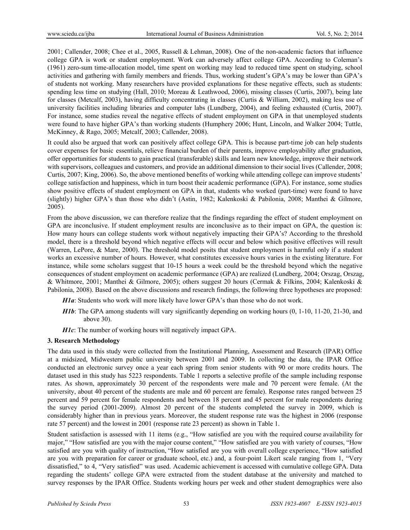2001; Callender, 2008; Chee et al., 2005, Russell & Lehman, 2008). One of the non-academic factors that influence college GPA is work or student employment. Work can adversely affect college GPA. According to Coleman's (1961) zero-sum time-allocation model, time spent on working may lead to reduced time spent on studying, school activities and gathering with family members and friends. Thus, working student's GPA's may be lower than GPA's of students not working. Many researchers have provided explanations for these negative effects, such as students: spending less time on studying (Hall, 2010; Moreau & Leathwood, 2006), missing classes (Curtis, 2007), being late for classes (Metcalf, 2003), having difficulty concentrating in classes (Curtis & William, 2002), making less use of university facilities including libraries and computer labs (Lundberg, 2004), and feeling exhausted (Curtis, 2007). For instance, some studies reveal the negative effects of student employment on GPA in that unemployed students were found to have higher GPA's than working students (Humphery 2006; Hunt, Lincoln, and Walker 2004; Tuttle, McKinney, & Rago, 2005; Metcalf, 2003; Callender, 2008).

It could also be argued that work can positively affect college GPA. This is because part-time job can help students cover expenses for basic essentials, relieve financial burden of their parents, improve employability after graduation, offer opportunities for students to gain practical (transferable) skills and learn new knowledge, improve their network with supervisors, colleagues and customers, and provide an additional dimension to their social lives (Callender, 2008; Curtis, 2007; King, 2006). So, the above mentioned benefits of working while attending college can improve students' college satisfaction and happiness, which in turn boost their academic performance (GPA). For instance, some studies show positive effects of student employment on GPA in that, students who worked (part-time) were found to have (slightly) higher GPA's than those who didn't (Astin, 1982; Kalenkoski & Pabilonia, 2008; Manthei & Gilmore, 2005).

From the above discussion, we can therefore realize that the findings regarding the effect of student employment on GPA are inconclusive. If student employment results are inconclusive as to their impact on GPA, the question is: How many hours can college students work without negatively impacting their GPA's? According to the threshold model, there is a threshold beyond which negative effects will occur and below which positive effectives will result (Warren, LePore, & Mare, 2000). The threshold model posits that student employment is harmful only if a student works an excessive number of hours. However, what constitutes excessive hours varies in the existing literature. For instance, while some scholars suggest that 10-15 hours a week could be the threshold beyond which the negative consequences of student employment on academic performance (GPA) are realized (Lundberg, 2004; Orszag, Orszag, & Whitmore, 2001; Manthei & Gilmore, 2005); others suggest 20 hours (Cermak & Filkins, 2004; Kalenkoski & Pabilonia, 2008). Based on the above discussions and research findings, the following three hypotheses are proposed:

- *H1a*: Students who work will more likely have lower GPA's than those who do not work.
- *H1b*: The GPA among students will vary significantly depending on working hours  $(0, 1-10, 11-20, 21-30, 1)$  and above 30).
- *H1c*: The number of working hours will negatively impact GPA.

# **3. Research Methodology**

The data used in this study were collected from the Institutional Planning, Assessment and Research (IPAR) Office at a midsized, Midwestern public university between 2001 and 2009. In collecting the data, the IPAR Office conducted an electronic survey once a year each spring from senior students with 90 or more credits hours. The dataset used in this study has 5223 respondents. Table 1 reports a selective profile of the sample including response rates. As shown, approximately 30 percent of the respondents were male and 70 percent were female. (At the university, about 40 percent of the students are male and 60 percent are female). Response rates ranged between 25 percent and 59 percent for female respondents and between 18 percent and 45 percent for male respondents during the survey period (2001-2009). Almost 20 percent of the students completed the survey in 2009, which is considerably higher than in previous years. Moreover, the student response rate was the highest in 2006 (response rate 57 percent) and the lowest in 2001 (response rate 23 percent) as shown in Table 1.

Student satisfaction is assessed with 11 items (e.g., "How satisfied are you with the required course availability for major," "How satisfied are you with the major course content," "How satisfied are you with variety of courses, "How satisfied are you with quality of instruction, "How satisfied are you with overall college experience, "How satisfied are you with preparation for career or graduate school, etc.) and, a four-point Likert scale ranging from 1, "Very dissatisfied," to 4, "Very satisfied" was used. Academic achievement is accessed with cumulative college GPA. Data regarding the students' college GPA were extracted from the student database at the university and matched to survey responses by the IPAR Office. Students working hours per week and other student demographics were also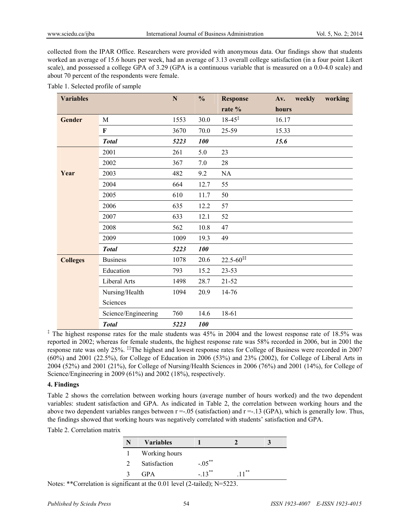collected from the IPAR Office. Researchers were provided with anonymous data. Our findings show that students worked an average of 15.6 hours per week, had an average of 3.13 overall college satisfaction (in a four point Likert scale), and possessed a college GPA of 3.29 (GPA is a continuous variable that is measured on a 0.0-4.0 scale) and about 70 percent of the respondents were female.

| <b>Variables</b> |                     | $\frac{0}{0}$<br>${\bf N}$ |      | <b>Response</b>      | weekly<br>Av. | working |
|------------------|---------------------|----------------------------|------|----------------------|---------------|---------|
|                  |                     |                            |      | rate %               | hours         |         |
| <b>Gender</b>    | M                   | 1553                       | 30.0 | $18 - 45^{\ddagger}$ | 16.17         |         |
|                  | F                   | 3670                       | 70.0 | 25-59                | 15.33         |         |
|                  | <b>Total</b>        | 5223                       | 100  |                      | 15.6          |         |
|                  | 2001                | 261                        | 5.0  | 23                   |               |         |
|                  | 2002                | 367                        | 7.0  | $28\,$               |               |         |
| Year             | 2003                | 482                        | 9.2  | NA                   |               |         |
|                  | 2004                | 664                        | 12.7 | 55                   |               |         |
|                  | 2005                | 610                        | 11.7 | 50                   |               |         |
|                  | 2006                | 635                        | 12.2 | 57                   |               |         |
|                  | 2007                | 633                        | 12.1 | 52                   |               |         |
|                  | 2008                | 562                        | 10.8 | 47                   |               |         |
|                  | 2009                | 1009                       | 19.3 | 49                   |               |         |
|                  | <b>Total</b>        | 5223                       | 100  |                      |               |         |
| <b>Colleges</b>  | <b>Business</b>     | 1078                       | 20.6 | $22.5 - 60^{11}$     |               |         |
|                  | Education           | 793                        | 15.2 | $23 - 53$            |               |         |
|                  | Liberal Arts        | 1498                       | 28.7 | $21 - 52$            |               |         |
|                  | Nursing/Health      | 1094                       | 20.9 | 14-76                |               |         |
|                  | Sciences            |                            |      |                      |               |         |
|                  | Science/Engineering | 760                        | 14.6 | 18-61                |               |         |
|                  | <b>Total</b>        | 5223                       | 100  |                      |               |         |

<sup>‡</sup> The highest response rates for the male students was 45% in 2004 and the lowest response rate of 18.5% was reported in 2002; whereas for female students, the highest response rate was 58% recorded in 2006, but in 2001 the response rate was only 25%. ‡‡The highest and lowest response rates for College of Business were recorded in 2007 (60%) and 2001 (22.5%), for College of Education in 2006 (53%) and 23% (2002), for College of Liberal Arts in 2004 (52%) and 2001 (21%), for College of Nursing/Health Sciences in 2006 (76%) and 2001 (14%), for College of Science/Engineering in 2009 (61%) and 2002 (18%), respectively.

# **4. Findings**

Table 2 shows the correlation between working hours (average number of hours worked) and the two dependent variables: student satisfaction and GPA. As indicated in Table 2, the correlation between working hours and the above two dependent variables ranges between  $r = -0.05$  (satisfaction) and  $r = -13$  (GPA), which is generally low. Thus, the findings showed that working hours was negatively correlated with students' satisfaction and GPA.

#### Table 2. Correlation matrix

| N | <b>Variables</b> |            |         |  |
|---|------------------|------------|---------|--|
|   | Working hours    |            |         |  |
|   | Satisfaction     | $-.05***$  |         |  |
|   | <b>GPA</b>       | $-13^{**}$ | $11***$ |  |

Notes: \*\*Correlation is significant at the 0.01 level (2-tailed); N=5223.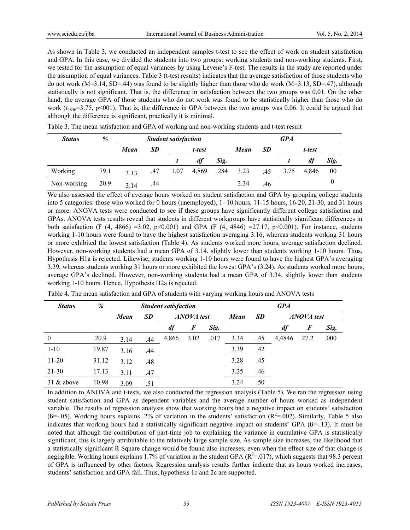As shown in Table 3, we conducted an independent samples t-test to see the effect of work on student satisfaction and GPA. In this case, we divided the students into two groups: working students and non-working students. First, we tested for the assumption of equal variances by using Levene's F-test. The results in the study are reported under the assumption of equal variances. Table 3 (t-test results) indicates that the average satisfaction of those students who do not work (M=3.14, SD=.44) was found to be slightly higher than those who do work (M=3.13, SD=.47), although statistically is not significant. That is, the difference in satisfaction between the two groups was 0.01. On the other hand, the average GPA of those students who do not work was found to be statistically higher than those who do work  $(t_{4846}=3.75, p<001)$ . That is, the difference in GPA between the two groups was 0.06. It could be argued that although the difference is significant, practically it is minimal.

| <b>Status</b> | %    | <b>Student satisfaction</b> |           |      |        |      |             |           | <b>GPA</b> |        |          |
|---------------|------|-----------------------------|-----------|------|--------|------|-------------|-----------|------------|--------|----------|
|               |      | Mean                        | <b>SD</b> |      | t-test |      | <b>Mean</b> | <b>SD</b> |            | t-test |          |
|               |      |                             |           |      | df     | Sig. |             |           |            | df     | Sig.     |
| Working       | 79.1 | 3.13                        | .47       | 1.07 | 4,869  | .284 | 3.23        | .45       | 3.75       | 4.846  | $_{.00}$ |
| Non-working   | 20.9 | 3 1 4                       | .44       |      |        |      | 3.34        | .46       |            |        | 0        |

Table 3. The mean satisfaction and GPA of working and non-working students and t-test result

We also assessed the effect of average hours worked on student satisfaction and GPA by grouping college students into 5 categories: those who worked for 0 hours (unemployed), 1- 10 hours, 11-15 hours, 16-20, 21-30, and 31 hours or more. ANOVA tests were conducted to see if these groups have significantly different college satisfaction and GPAs. ANOVA tests results reveal that students in different workgroups have statistically significant differences in both satisfaction (F  $(4, 4866) = 3.02$ , p<0.001) and GPA (F  $(4, 4846) = 27.17$ , p<0.001). For instance, students working 1-10 hours were found to have the highest satisfaction averaging 3.16, whereas students working 31 hours or more exhibited the lowest satisfaction (Table 4). As students worked more hours, average satisfaction declined. However, non-working students had a mean GPA of 3.14, slightly lower than students working 1-10 hours. Thus, Hypothesis H1a is rejected. Likewise, students working 1-10 hours were found to have the highest GPA's averaging 3.39, whereas students working 31 hours or more exhibited the lowest GPA's (3.24). As students worked more hours, average GPA's declined. However, non-working students had a mean GPA of 3.34, slightly lower than students working 1-10 hours. Hence, Hypothesis H2a is rejected.

| <b>Status</b>  | %     | <b>Student satisfaction</b> |           |            |          |      |      |           | <b>GPA</b> |            |      |
|----------------|-------|-----------------------------|-----------|------------|----------|------|------|-----------|------------|------------|------|
|                |       | Mean                        | <b>SD</b> | ANOVA test |          |      | Mean | <b>SD</b> |            | ANOVA test |      |
|                |       |                             |           | df         | $\bm{F}$ | Sig. |      |           | df         | $\bm{F}$   | Sig. |
| $\overline{0}$ | 20.9  | 3.14                        | .44       | 4,866      | 3.02     | .017 | 3.34 | .45       | 4,4846     | 27.2       | .000 |
| $1 - 10$       | 19.87 | 3.16                        | .44       |            |          |      | 3.39 | .42       |            |            |      |
| $11 - 20$      | 31.12 | 3.12                        | .48       |            |          |      | 3.28 | .45       |            |            |      |
| $21 - 30$      | 17.13 | 3.11                        | .47       |            |          |      | 3.25 | .46       |            |            |      |
| $31 \&$ above  | 10.98 | 3.09                        | .51       |            |          |      | 3.24 | .50       |            |            |      |

Table 4. The mean satisfaction and GPA of students with varying working hours and ANOVA tests

In addition to ANOVA and t-tests, we also conducted the regression analysis (Table 5). We ran the regression using student satisfaction and GPA as dependent variables and the average number of hours worked as independent variable. The results of regression analysis show that working hours had a negative impact on students' satisfaction ( $\beta$ =-.05). Working hours explains .2% of variation in the students' satisfaction ( $R^2$ =.002). Similarly, Table 5 also indicates that working hours had a statistically significant negative impact on students' GPA  $(\beta = -13)$ . It must be noted that although the contribution of part-time job to explaining the variance in cumulative GPA is statistically significant, this is largely attributable to the relatively large sample size. As sample size increases, the likelihood that a statistically significant R Square change would be found also increases, even when the effect size of that change is negligible. Working hours explains 1.7% of variation in the student GPA  $(R^2=017)$ , which suggests that 98.3 percent of GPA is influenced by other factors. Regression analysis results further indicate that as hours worked increases, students' satisfaction and GPA fall. Thus, hypothesis 1c and 2c are supported.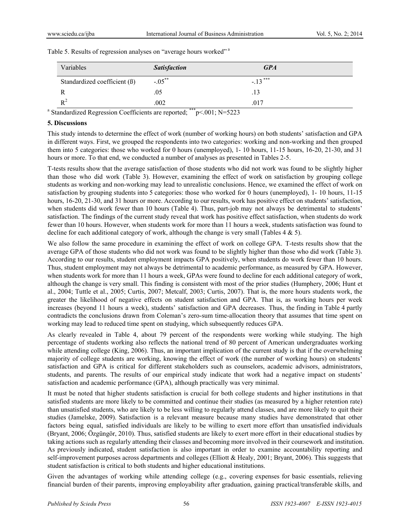| Variables                    | <b>Satisfaction</b> | <b>GPA</b> |
|------------------------------|---------------------|------------|
| Standardized coefficient (B) | $-.05***$           | $-.13***$  |
|                              | .05                 | .13        |
| $R^2$                        | .002                | .017       |

Table 5. Results of regression analyses on "average hours worked" a

<sup>a</sup> Standardized Regression Coefficients are reported; \*\*\* p<.001; N=5223

#### **5. Discussions**

This study intends to determine the effect of work (number of working hours) on both students' satisfaction and GPA in different ways. First, we grouped the respondents into two categories: working and non-working and then grouped them into 5 categories: those who worked for 0 hours (unemployed), 1- 10 hours, 11-15 hours, 16-20, 21-30, and 31 hours or more. To that end, we conducted a number of analyses as presented in Tables 2-5.

T-tests results show that the average satisfaction of those students who did not work was found to be slightly higher than those who did work (Table 3). However, examining the effect of work on satisfaction by grouping college students as working and non-working may lead to unrealistic conclusions. Hence, we examined the effect of work on satisfaction by grouping students into 5 categories: those who worked for 0 hours (unemployed), 1- 10 hours, 11-15 hours, 16-20, 21-30, and 31 hours or more. According to our results, work has positive effect on students' satisfaction, when students did work fewer than 10 hours (Table 4). Thus, part-job may not always be detrimental to students' satisfaction. The findings of the current study reveal that work has positive effect satisfaction, when students do work fewer than 10 hours. However, when students work for more than 11 hours a week, students satisfaction was found to decline for each additional category of work, although the change is very small (Tables  $4 \& 5$ ).

We also follow the same procedure in examining the effect of work on college GPA. T-tests results show that the average GPA of those students who did not work was found to be slightly higher than those who did work (Table 3). According to our results, student employment impacts GPA positively, when students do work fewer than 10 hours. Thus, student employment may not always be detrimental to academic performance, as measured by GPA. However, when students work for more than 11 hours a week, GPAs were found to decline for each additional category of work, although the change is very small. This finding is consistent with most of the prior studies (Humphery, 2006; Hunt et al., 2004; Tuttle et al., 2005; Curtis, 2007; Metcalf, 2003; Curtis, 2007). That is, the more hours students work, the greater the likelihood of negative effects on student satisfaction and GPA. That is, as working hours per week increases (beyond 11 hours a week), students' satisfaction and GPA decreases. Thus, the finding in Table 4 partly contradicts the conclusions drawn from Coleman's zero-sum time-allocation theory that assumes that time spent on working may lead to reduced time spent on studying, which subsequently reduces GPA.

As clearly revealed in Table 4, about 79 percent of the respondents were working while studying. The high percentage of students working also reflects the national trend of 80 percent of American undergraduates working while attending college (King, 2006). Thus, an important implication of the current study is that if the overwhelming majority of college students are working, knowing the effect of work (the number of working hours) on students' satisfaction and GPA is critical for different stakeholders such as counselors, academic advisors, administrators, students, and parents. The results of our empirical study indicate that work had a negative impact on students' satisfaction and academic performance (GPA), although practically was very minimal.

It must be noted that higher students satisfaction is crucial for both college students and higher institutions in that satisfied students are more likely to be committed and continue their studies (as measured by a higher retention rate) than unsatisfied students, who are likely to be less willing to regularly attend classes, and are more likely to quit their studies (Jamelske, 2009). Satisfaction is a relevant measure because many studies have demonstrated that other factors being equal, satisfied individuals are likely to be willing to exert more effort than unsatisfied individuals (Bryant, 2006; Özgüngör, 2010). Thus, satisfied students are likely to exert more effort in their educational studies by taking actions such as regularly attending their classes and becoming more involved in their coursework and institution. As previously indicated, student satisfaction is also important in order to examine accountability reporting and self-improvement purposes across departments and colleges (Elliott & Healy, 2001; Bryant, 2006). This suggests that student satisfaction is critical to both students and higher educational institutions.

Given the advantages of working while attending college (e.g., covering expenses for basic essentials, relieving financial burden of their parents, improving employability after graduation, gaining practical/transferable skills, and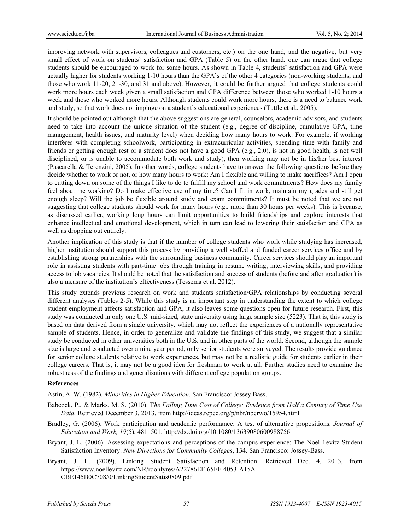improving network with supervisors, colleagues and customers, etc.) on the one hand, and the negative, but very small effect of work on students' satisfaction and GPA (Table 5) on the other hand, one can argue that college students should be encouraged to work for some hours. As shown in Table 4, students' satisfaction and GPA were actually higher for students working 1-10 hours than the GPA's of the other 4 categories (non-working students, and those who work 11-20, 21-30, and 31 and above). However, it could be further argued that college students could work more hours each week given a small satisfaction and GPA difference between those who worked 1-10 hours a week and those who worked more hours. Although students could work more hours, there is a need to balance work and study, so that work does not impinge on a student's educational experiences (Tuttle et al., 2005).

It should be pointed out although that the above suggestions are general, counselors, academic advisors, and students need to take into account the unique situation of the student (e.g., degree of discipline, cumulative GPA, time management, health issues, and maturity level) when deciding how many hours to work. For example, if working interferes with completing schoolwork, participating in extracurricular activities, spending time with family and friends or getting enough rest or a student does not have a good GPA (e.g., 2.0), is not in good health, is not well disciplined, or is unable to accommodate both work and study), then working may not be in his/her best interest (Pascarella & Terenzini, 2005). In other words, college students have to answer the following questions before they decide whether to work or not, or how many hours to work: Am I flexible and willing to make sacrifices? Am I open to cutting down on some of the things I like to do to fulfill my school and work commitments? How does my family feel about me working? Do I make effective use of my time? Can I fit in work, maintain my grades and still get enough sleep? Will the job be flexible around study and exam commitments? It must be noted that we are not suggesting that college students should work for many hours (e.g., more than 30 hours per weeks). This is because, as discussed earlier, working long hours can limit opportunities to build friendships and explore interests that enhance intellectual and emotional development, which in turn can lead to lowering their satisfaction and GPA as well as dropping out entirely.

Another implication of this study is that if the number of college students who work while studying has increased, higher institution should support this process by providing a well staffed and funded career services office and by establishing strong partnerships with the surrounding business community. Career services should play an important role in assisting students with part-time jobs through training in resume writing, interviewing skills, and providing access to job vacancies. It should be noted that the satisfaction and success of students (before and after graduation) is also a measure of the institution's effectiveness (Tessema et al. 2012).

This study extends previous research on work and students satisfaction/GPA relationships by conducting several different analyses (Tables 2-5). While this study is an important step in understanding the extent to which college student employment affects satisfaction and GPA, it also leaves some questions open for future research. First, this study was conducted in only one U.S. mid-sized, state university using large sample size (5223). That is, this study is based on data derived from a single university, which may not reflect the experiences of a nationally representative sample of students. Hence, in order to generalize and validate the findings of this study, we suggest that a similar study be conducted in other universities both in the U.S. and in other parts of the world. Second, although the sample size is large and conducted over a nine year period, only senior students were surveyed. The results provide guidance for senior college students relative to work experiences, but may not be a realistic guide for students earlier in their college careers. That is, it may not be a good idea for freshman to work at all. Further studies need to examine the robustness of the findings and generalizations with different college population groups.

#### **References**

Astin, A. W*.* (1982). *Minorities in Higher Education.* San Francisco: Jossey Bass.

- Babcock, P., & Marks, M. S. (2010). T*he Falling Time Cost of College: Evidence from Half a Century of Time Use Data.* Retrieved December 3, 2013, from http://ideas.repec.org/p/nbr/nberwo/15954.html
- Bradley, G. (2006). Work participation and academic performance: A test of alternative propositions. *Journal of Education and Work, 19*(5), 481–501. http://dx.doi.org/10.1080/13639080600988756
- Bryant, J. L. (2006). Assessing expectations and perceptions of the campus experience: The Noel-Levitz Student Satisfaction Inventory. *New Directions for Community Colleges*, 134. San Francisco: Jossey-Bass.
- Bryant, J. L. (2009). Linking Student Satisfaction and Retention. Retrieved Dec. 4, 2013, from https://www.noellevitz.com/NR/rdonlyres/A22786EF-65FF-4053-A15A CBE145B0C708/0/LinkingStudentSatis0809.pdf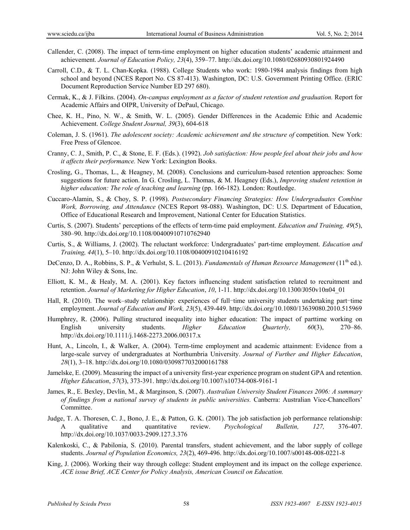- Callender, C. (2008). The impact of term-time employment on higher education students' academic attainment and achievement. *Journal of Education Policy, 23*(4), 359–77. http://dx.doi.org/10.1080/02680930801924490
- Carroll, C.D., & T. L. Chan-Kopka. (1988). College Students who work: 1980-1984 analysis findings from high school and beyond (NCES Report No. CS 87-413). Washington, DC: U.S. Government Printing Office. (ERIC Document Reproduction Service Number ED 297 680).
- Cermak, K., & J. Filkins. (2004). *On-campus employment as a factor of student retention and graduation.* Report for Academic Affairs and OIPR, University of DePaul, Chicago.
- Chee, K. H., Pino, N. W., & Smith, W. L. (2005). Gender Differences in the Academic Ethic and Academic Achievement. *College Student Journal, 39*(3), 604-618
- Coleman, J. S. (1961). *The adolescent society: Academic achievement and the structure of competition*. New York: Free Press of Glencoe.
- Cranny, C. J., Smith, P. C., & Stone, E. F. (Eds.). (1992). *Job satisfaction: How people feel about their jobs and how it affects their performance.* New York: Lexington Books.
- Crosling, G., Thomas, L., & Heagney, M. (2008). Conclusions and curriculum-based retention approaches: Some suggestions for future action. In G. Crosling, L. Thomas, & M. Heagney (Eds.), *Improving student retention in*  higher education: The role of teaching and learning (pp. 166-182). London: Routledge.
- Cuccaro-Alamin, S., & Choy, S. P. (1998). *Postsecondary Financing Strategies: How Undergraduates Combine Work, Borrowing, and Attendance* (NCES Report 98-088). Washington, DC: U.S. Department of Education, Office of Educational Research and Improvement, National Center for Education Statistics.
- Curtis, S. (2007). Students' perceptions of the effects of term-time paid employment. *Education and Training, 49*(5), 380–90. http://dx.doi.org/10.1108/00400910710762940
- Curtis, S., & Williams, J. (2002). The reluctant workforce: Undergraduates' part-time employment. *Education and Training, 44*(1), 5–10. http://dx.doi.org/10.1108/00400910210416192
- DeCenzo, D. A., Robbins, S. P., & Verhulst, S. L. (2013). *Fundamentals of Human Resource Management* (11<sup>th</sup> ed.). NJ: John Wiley & Sons, Inc.
- Elliott, K. M., & Healy, M. A. (2001). Key factors influencing student satisfaction related to recruitment and retention. *Journal of Marketing for Higher Education*, *10*, 1-11. http://dx.doi.org/10.1300/J050v10n04\_01
- Hall, R. (2010). The work–study relationship: experiences of full-time university students undertaking part-time employment. *Journal of Education and Work, 23*(5), 439-449. http://dx.doi.org/10.1080/13639080.2010.515969
- Humphrey, R. (2006). Pulling structured inequality into higher education: The impact of parttime working on English university students. *Higher Education Quarterly, 60*(3), 270–86. http://dx.doi.org/10.1111/j.1468-2273.2006.00317.x
- Hunt, A., Lincoln, I., & Walker, A. (2004). Term-time employment and academic attainment: Evidence from a large-scale survey of undergraduates at Northumbria University. *Journal of Further and Higher Education*, *28*(1), 3–18. http://dx.doi.org/10.1080/0309877032000161788
- Jamelske, E. (2009). Measuring the impact of a university first-year experience program on student GPA and retention. *Higher Education*, *57*(3), 373-391. http://dx.doi.org/10.1007/s10734-008-9161-1
- James, R., E. Bexley, Devlin, M., & Marginson, S. (2007). *Australian University Student Finances 2006: A summary of findings from a national survey of students in public universities.* Canberra: Australian Vice-Chancellors' Committee.
- Judge, T. A. Thoresen, C. J., Bono, J. E., & Patton, G. K. (2001). The job satisfaction job performance relationship: A qualitative and quantitative review. *Psychological Bulletin, 127,* 376-407. http://dx.doi.org/10.1037/0033-2909.127.3.376
- Kalenkoski, C., & Pabilonia, S. (2010). Parental transfers, student achievement, and the labor supply of college students. *Journal of Population Economics, 23*(2), 469-496. http://dx.doi.org/10.1007/s00148-008-0221-8
- King, J. (2006). Working their way through college: Student employment and its impact on the college experience. *ACE issue Brief, ACE Center for Policy Analysis, American Council on Education.*